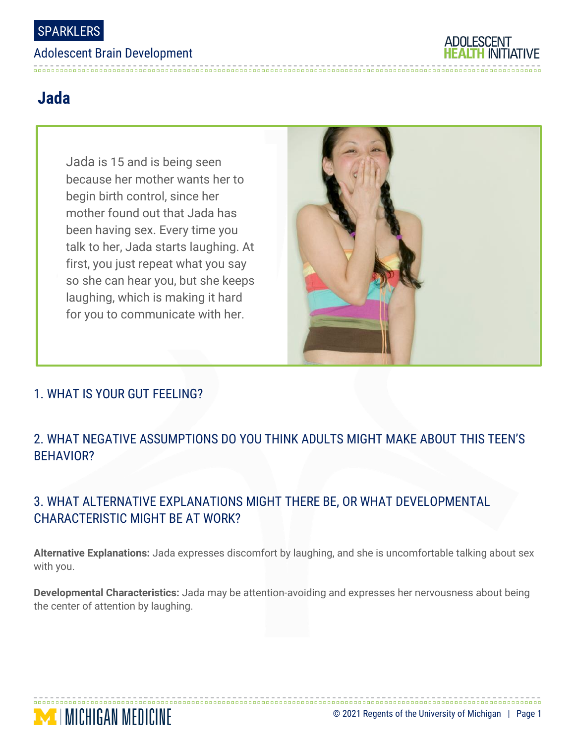#### Adolescent Brain Development



# **Jada**

Jada is 15 and is being seen because her mother wants her to begin birth control, since her mother found out that Jada has been having sex. Every time you talk to her, Jada starts laughing. At first, you just repeat what you say so she can hear you, but she keeps laughing, which is making it hard for you to communicate with her.



### 1. WHAT IS YOUR GUT FEELING?

**MINICHIGAN MEDICINE** 

### 2. WHAT NEGATIVE ASSUMPTIONS DO YOU THINK ADULTS MIGHT MAKE ABOUT THIS TEEN'S BEHAVIOR?

## 3. WHAT ALTERNATIVE EXPLANATIONS MIGHT THERE BE, OR WHAT DEVELOPMENTAL CHARACTERISTIC MIGHT BE AT WORK?

**Alternative Explanations:** Jada expresses discomfort by laughing, and she is uncomfortable talking about sex with you.

**Developmental Characteristics:** Jada may be attention-avoiding and expresses her nervousness about being the center of attention by laughing.